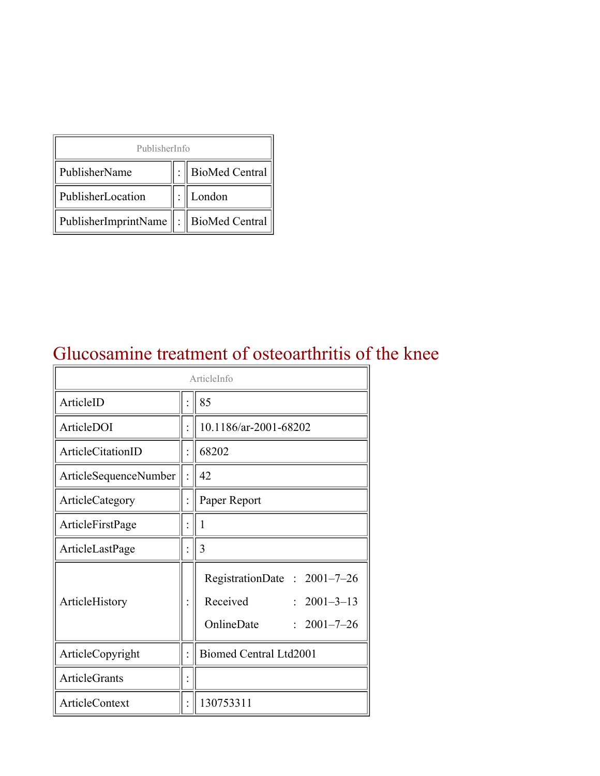| PublisherInfo                              |  |                  |  |  |
|--------------------------------------------|--|------------------|--|--|
| PublisherName                              |  | : BioMed Central |  |  |
| PublisherLocation                          |  | London           |  |  |
| PublisherImprintName   :    BioMed Central |  |                  |  |  |

#### Glucosamine treatment of osteoarthritis of the knee

| ArticleInfo           |  |                                                                                                      |  |
|-----------------------|--|------------------------------------------------------------------------------------------------------|--|
| ArticleID             |  | 85                                                                                                   |  |
| ArticleDOI            |  | 10.1186/ar-2001-68202                                                                                |  |
| ArticleCitationID     |  | 68202                                                                                                |  |
| ArticleSequenceNumber |  | 42                                                                                                   |  |
| ArticleCategory       |  | Paper Report                                                                                         |  |
| ArticleFirstPage      |  | 1                                                                                                    |  |
| ArticleLastPage       |  | 3                                                                                                    |  |
| ArticleHistory        |  | RegistrationDate: 2001-7-26<br>Received<br>$: 2001 - 3 - 13$<br>OnlineDate<br>$\therefore$ 2001-7-26 |  |
| ArticleCopyright      |  | <b>Biomed Central Ltd2001</b>                                                                        |  |
| <b>ArticleGrants</b>  |  |                                                                                                      |  |
| <b>ArticleContext</b> |  | 130753311                                                                                            |  |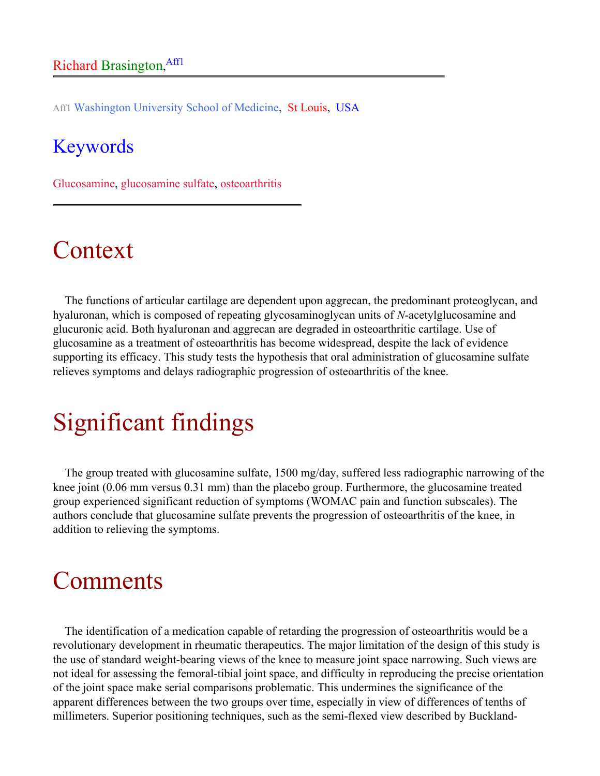Aff1 Washington University School of Medicine, St Louis, USA

#### Keywords

Glucosamine, glucosamine sulfate, osteoarthritis

### Context

The functions of articular cartilage are dependent upon aggrecan, the predominant proteoglycan, and hyaluronan, which is composed of repeating glycosaminoglycan units of *N*-acetylglucosamine and glucuronic acid. Both hyaluronan and aggrecan are degraded in osteoarthritic cartilage. Use of glucosamine as a treatment of osteoarthritis has become widespread, despite the lack of evidence supporting its efficacy. This study tests the hypothesis that oral administration of glucosamine sulfate relieves symptoms and delays radiographic progression of osteoarthritis of the knee.

# Significant findings

The group treated with glucosamine sulfate, 1500 mg/day, suffered less radiographic narrowing of the knee joint (0.06 mm versus 0.31 mm) than the placebo group. Furthermore, the glucosamine treated group experienced significant reduction of symptoms (WOMAC pain and function subscales). The authors conclude that glucosamine sulfate prevents the progression of osteoarthritis of the knee, in addition to relieving the symptoms.

#### Comments

The identification of a medication capable of retarding the progression of osteoarthritis would be a revolutionary development in rheumatic therapeutics. The major limitation of the design of this study is the use of standard weight-bearing views of the knee to measure joint space narrowing. Such views are not ideal for assessing the femoral-tibial joint space, and difficulty in reproducing the precise orientation of the joint space make serial comparisons problematic. This undermines the significance of the apparent differences between the two groups over time, especially in view of differences of tenths of millimeters. Superior positioning techniques, such as the semi-flexed view described by Buckland